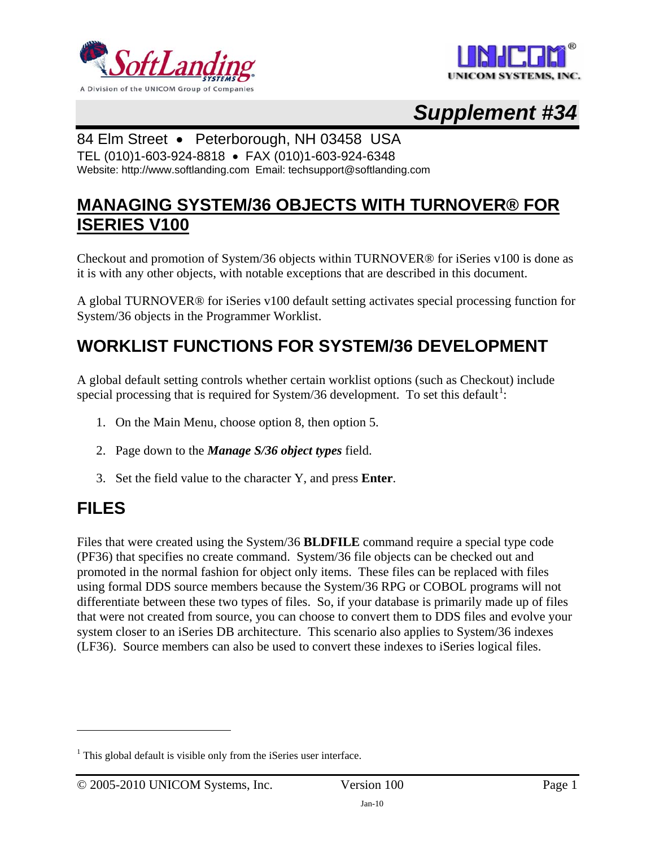



# *Supplement #34*

#### 84 Elm Street • Peterborough, NH 03458 USA

TEL (010)1-603-924-8818 • FAX (010)1-603-924-6348 Website: http://www.softlanding.com Email: techsupport@softlanding.com

### **MANAGING SYSTEM/36 OBJECTS WITH TURNOVER® FOR ISERIES V100**

Checkout and promotion of System/36 objects within TURNOVER® for iSeries v100 is done as it is with any other objects, with notable exceptions that are described in this document.

A global TURNOVER® for iSeries v100 default setting activates special processing function for System/36 objects in the Programmer Worklist.

## **WORKLIST FUNCTIONS FOR SYSTEM/36 DEVELOPMENT**

A global default setting controls whether certain worklist options (such as Checkout) include special processing that is required for System/36 development. To set this default<sup>[1](#page-0-0)</sup>:

- 1. On the Main Menu, choose option 8, then option 5.
- 2. Page down to the *Manage S/36 object types* field.
- 3. Set the field value to the character Y, and press **Enter**.

### **FILES**

 $\overline{a}$ 

Files that were created using the System/36 **BLDFILE** command require a special type code (PF36) that specifies no create command. System/36 file objects can be checked out and promoted in the normal fashion for object only items. These files can be replaced with files using formal DDS source members because the System/36 RPG or COBOL programs will not differentiate between these two types of files. So, if your database is primarily made up of files that were not created from source, you can choose to convert them to DDS files and evolve your system closer to an iSeries DB architecture. This scenario also applies to System/36 indexes (LF36). Source members can also be used to convert these indexes to iSeries logical files.

<span id="page-0-0"></span> $<sup>1</sup>$  This global default is visible only from the iSeries user interface.</sup>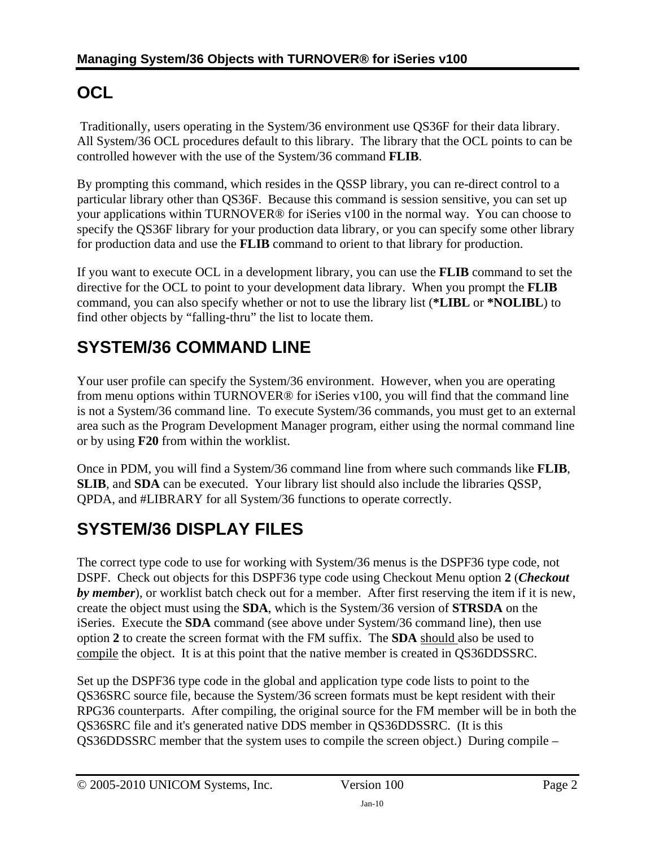# **OCL**

Traditionally, users operating in the System/36 environment use QS36F for their data library. All System/36 OCL procedures default to this library. The library that the OCL points to can be controlled however with the use of the System/36 command **FLIB**.

By prompting this command, which resides in the QSSP library, you can re-direct control to a particular library other than QS36F. Because this command is session sensitive, you can set up your applications within TURNOVER® for iSeries v100 in the normal way. You can choose to specify the QS36F library for your production data library, or you can specify some other library for production data and use the **FLIB** command to orient to that library for production.

If you want to execute OCL in a development library, you can use the **FLIB** command to set the directive for the OCL to point to your development data library. When you prompt the **FLIB** command, you can also specify whether or not to use the library list (**\*LIBL** or **\*NOLIBL**) to find other objects by "falling-thru" the list to locate them.

## **SYSTEM/36 COMMAND LINE**

Your user profile can specify the System/36 environment. However, when you are operating from menu options within TURNOVER® for iSeries v100, you will find that the command line is not a System/36 command line. To execute System/36 commands, you must get to an external area such as the Program Development Manager program, either using the normal command line or by using **F20** from within the worklist.

Once in PDM, you will find a System/36 command line from where such commands like **FLIB**, **SLIB**, and **SDA** can be executed. Your library list should also include the libraries QSSP, QPDA, and #LIBRARY for all System/36 functions to operate correctly.

## **SYSTEM/36 DISPLAY FILES**

The correct type code to use for working with System/36 menus is the DSPF36 type code, not DSPF. Check out objects for this DSPF36 type code using Checkout Menu option **2** (*Checkout by member*), or worklist batch check out for a member. After first reserving the item if it is new, create the object must using the **SDA**, which is the System/36 version of **STRSDA** on the iSeries. Execute the **SDA** command (see above under System/36 command line), then use option **2** to create the screen format with the FM suffix. The **SDA** should also be used to compile the object. It is at this point that the native member is created in QS36DDSSRC.

Set up the DSPF36 type code in the global and application type code lists to point to the QS36SRC source file, because the System/36 screen formats must be kept resident with their RPG36 counterparts. After compiling, the original source for the FM member will be in both the QS36SRC file and it's generated native DDS member in QS36DDSSRC. (It is this QS36DDSSRC member that the system uses to compile the screen object.) During compile –